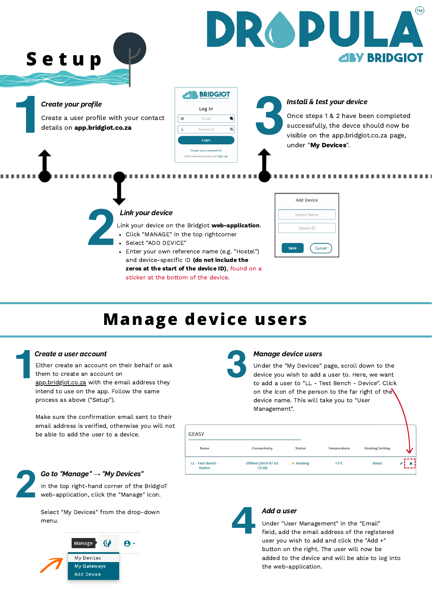**S e t u p**

# **Manage device users**

Create a user profile with your contact details on app.bridgiot.co.za



### Create your profile

### Link your device

Link your device on the Bridgiot web-application.

- Click "MANAGE" in the top rightcorner
- Select "ADD DEVICE"
- Enter your own reference name (e.g. "Hostel")  $\bullet$ and device-specific ID (do not include the zeros at the start of the device ID), found on a sticker at the bottom of the device.





In the top right-hand corner of the BridgIoT web-application, click the "Manage" icon.

#### Create a user account

Either create an account on their behalf or ask them to create an account on [app.bridgiot.co.za](http://app.bridgiot.co.za/) with the email address they intend to use on the app. Follow the same process as above ("Setup").

Make sure the confirmation email sent to their email address is verified, otherwise you will not



be able to add the user to a device.

#### Go to "Manage" → "My Devices"

Select "My Devices" from the drop-down menu.



| <b>GEASY</b>                       |                              |               |                |                        |              |
|------------------------------------|------------------------------|---------------|----------------|------------------------|--------------|
| <b>Name</b>                        | <b>Connectivity</b>          | <b>Status</b> | Temperature    | <b>Heating Setting</b> | AV.          |
| LL - Test Bench -<br><b>Device</b> | Offline (2019-07-03<br>13:28 | • Heating     | $11^{\circ}$ C | <b>Boost</b>           | and the last |



#### Add a user

Under "User Management" in the "Email" field, add the email address of the registered user you wish to add and click the "Add +" button on the right. The user will now be added to the device and will be able to log into the web-application.

#### Manage device users

Under the "My Devices" page, scroll down to the device you wish to add a user to. Here, we want to add a user to "LL - Test Bench - Device". Click on the icon of the person to the far right of the device name. This will take you to "User Management".